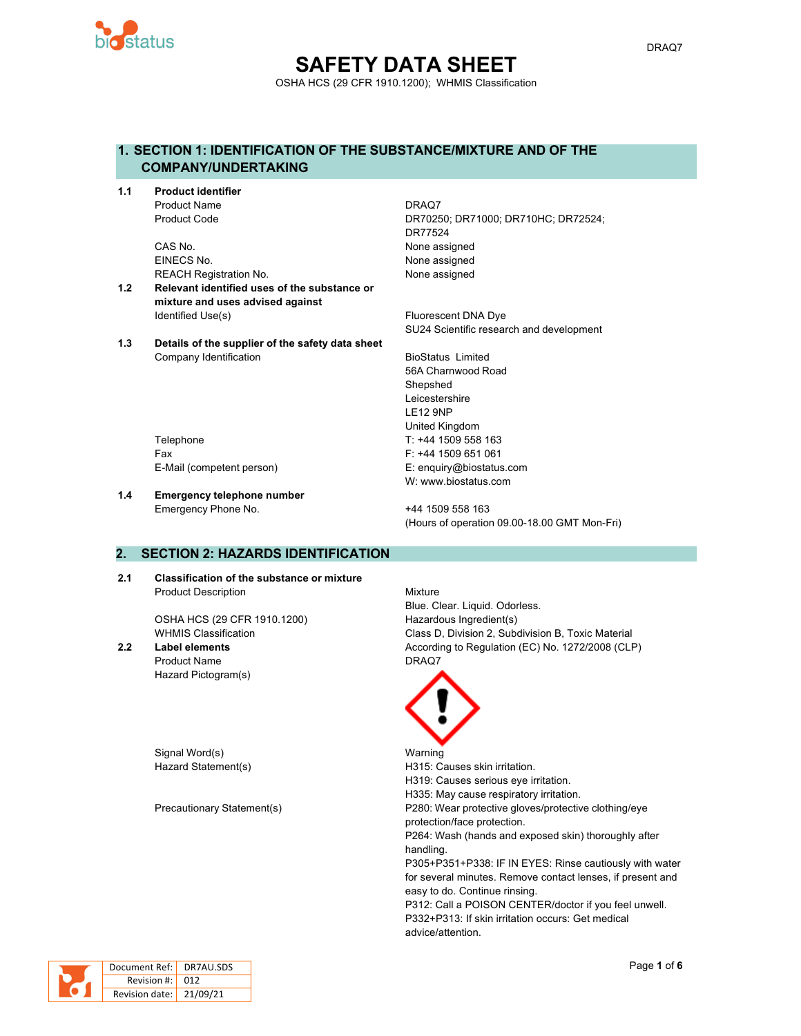

# **SAFETY DATA SHEET** OSHA HCS (29 CFR 1910.1200); WHMIS Classification

# **1. SECTION 1: IDENTIFICATION OF THE SUBSTANCE/MIXTURE AND OF THE COMPANY/UNDERTAKING**

**1.1 Product identifier** Product Name DRAQ7

> CAS No. 2008 2012 12:30 None assigned EINECS No. None assigned REACH Registration No. None assigned

- **1.2 Relevant identified uses of the substance or mixture and uses advised against** Identified Use(s) The Contract Contract Contract Contract Contract Contract Contract Contract Contract Contract Contract Contract Contract Contract Contract Contract Contract Contract Contract Contract Contract Contract Co
- **1.3 Details of the supplier of the safety data sheet** Company Identification **BioStatus Limited** BioStatus Limited

Product Code DR70250; DR71000; DR710HC; DR72524; DR77524

SU24 Scientific research and development

56A Charnwood Road **Shepshed** Leicestershire LE12 9NP United Kingdom Telephone Telephone T: +44 1509 558 163 Fax F: +44 1509 651 061 E-Mail (competent person) E: enquiry@biostatus.com W: www.biostatus.com

**1.4 Emergency telephone number**

Emergency Phone No. 444 1509 558 163 (Hours of operation 09.00-18.00 GMT Mon-Fri)

# **2. SECTION 2: HAZARDS IDENTIFICATION**

**2.1 Classification of the substance or mixture** Product Description Mixture

OSHA HCS (29 CFR 1910.1200) Hazardous Ingredient(s)

Product Name DRAQ7 Hazard Pictogram(s)

Signal Word(s) National Warning

Blue. Clear. Liquid. Odorless. WHMIS Classification Class D, Division 2, Subdivision B, Toxic Material **2.2 Label elements** According to Regulation (EC) No. 1272/2008 (CLP)



Hazard Statement(s) example a H315: Causes skin irritation. H319: Causes serious eye irritation. H335: May cause respiratory irritation. Precautionary Statement(s) P280: Wear protective gloves/protective clothing/eye protection/face protection. P264: Wash (hands and exposed skin) thoroughly after handling. P305+P351+P338: IF IN EYES: Rinse cautiously with water for several minutes. Remove contact lenses, if present and easy to do. Continue rinsing. P312: Call a POISON CENTER/doctor if you feel unwell. P332+P313: If skin irritation occurs: Get medical advice/attention.



| Document Ref: DR7AU.SDS |  |
|-------------------------|--|
| Revision #: 012         |  |
| Revision date: 21/09/21 |  |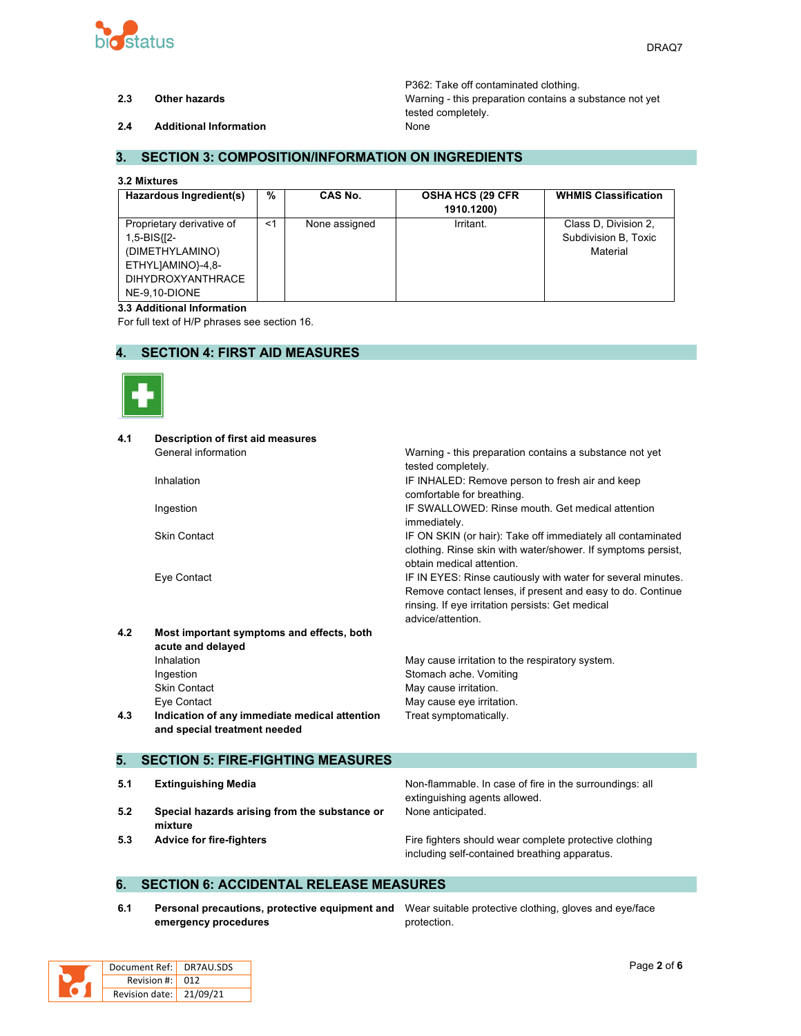

P362: Take off contaminated clothing. **2.3 Other hazards** Warning - this preparation contains a substance not yet tested completely.

**2.4 Additional Information** None

### **3. SECTION 3: COMPOSITION/INFORMATION ON INGREDIENTS**

#### **3.2 Mixtures**

| Hazardous Ingredient(s)                                                                                                       | %     | CAS No.       | <b>OSHA HCS (29 CFR)</b><br>1910.1200) | <b>WHMIS Classification</b>                              |
|-------------------------------------------------------------------------------------------------------------------------------|-------|---------------|----------------------------------------|----------------------------------------------------------|
| Proprietary derivative of<br>1,5-BIS{[2-<br>(DIMETHYLAMINO)<br>ETHYLJAMINO}-4,8-<br><b>DIHYDROXYANTHRACE</b><br>NE-9.10-DIONE | $<$ 1 | None assigned | Irritant.                              | Class D. Division 2,<br>Subdivision B, Toxic<br>Material |

#### **3.3 Additional Information**

For full text of H/P phrases see section 16.

# **4. SECTION 4: FIRST AID MEASURES**



| 4.1 | <b>Description of first aid measures</b>      |                                                              |
|-----|-----------------------------------------------|--------------------------------------------------------------|
|     | General information                           | Warning - this preparation contains a substance not yet      |
|     |                                               | tested completely.                                           |
|     | Inhalation                                    | IF INHALED: Remove person to fresh air and keep              |
|     |                                               | comfortable for breathing.                                   |
|     | Ingestion                                     | IF SWALLOWED: Rinse mouth, Get medical attention             |
|     |                                               | immediately.                                                 |
|     | <b>Skin Contact</b>                           | IF ON SKIN (or hair): Take off immediately all contaminated  |
|     |                                               | clothing. Rinse skin with water/shower. If symptoms persist, |
|     |                                               | obtain medical attention.                                    |
|     | Eye Contact                                   | IF IN EYES: Rinse cautiously with water for several minutes. |
|     |                                               | Remove contact lenses, if present and easy to do. Continue   |
|     |                                               | rinsing. If eye irritation persists: Get medical             |
|     |                                               | advice/attention                                             |
| 4.2 | Most important symptoms and effects, both     |                                                              |
|     | acute and delayed                             |                                                              |
|     | Inhalation                                    | May cause irritation to the respiratory system.              |
|     | Ingestion                                     | Stomach ache. Vomiting                                       |
|     | <b>Skin Contact</b>                           | May cause irritation.                                        |
|     | Eye Contact                                   | May cause eye irritation.                                    |
| 4.3 | Indication of any immediate medical attention | Treat symptomatically.                                       |
|     | and special treatment needed                  |                                                              |
|     |                                               |                                                              |
| 5.  | <b>SECTION 5: FIRE-FIGHTING MEASURES</b>      |                                                              |
|     |                                               |                                                              |
| 5.1 | <b>Extinguishing Media</b>                    | Non-flammable. In case of fire in the surroundings: all      |

- **5.2 Special hazards arising from the substance or mixture**
- 

extinguishing agents allowed. None anticipated.

**5.3 Advice for fire-fighters Fire fighters** Fire fighters should wear complete protective clothing including self-contained breathing apparatus.

#### **6. SECTION 6: ACCIDENTAL RELEASE MEASURES**

**6.1 Personal precautions, protective equipment and** Wear suitable protective clothing, gloves and eye/face **emergency procedures**

protection.

| Document Ref:   DR7AU.SDS |  |
|---------------------------|--|
| Revision $\#$ : 012       |  |
| Revision date: 21/09/21   |  |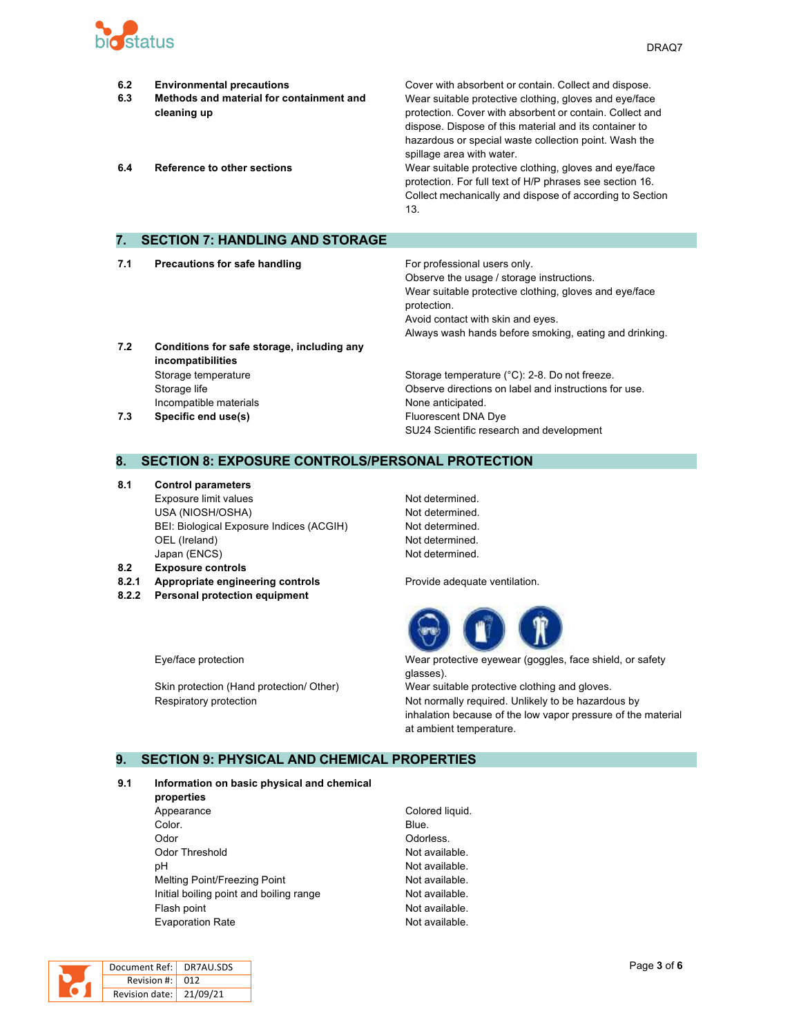

- **6.2 Environmental precautions** Cover with absorbent or contain. Collect and dispose. **6.3 Methods and material for containment and cleaning up** Wear suitable protective clothing, gloves and eye/face protection. Cover with absorbent or contain. Collect and dispose. Dispose of this material and its container to hazardous or special waste collection point. Wash the spillage area with water. **6.4 Reference to other sections** Wear suitable protective clothing, gloves and eye/face protection. For full text of H/P phrases see section 16. Collect mechanically and dispose of according to Section 13. **7. SECTION 7: HANDLING AND STORAGE 7.1 Precautions for safe handling For professional users only.** Observe the usage / storage instructions. Wear suitable protective clothing, gloves and eye/face protection.
- **7.2 Conditions for safe storage, including any incompatibilities** Storage temperature **Storage temperature (°C): 2-8. Do not freeze.** Storage temperature (°C): 2-8. Do not freeze. Incompatible materials **None anticipated**. **7.3 Specific end use(s) Eluorescent DNA Dye**

# Always wash hands before smoking, eating and drinking. Storage life Observe directions on label and instructions for use.

SU24 Scientific research and development

Avoid contact with skin and eyes.

#### **8. SECTION 8: EXPOSURE CONTROLS/PERSONAL PROTECTION**

- **8.1 Control parameters** Exposure limit values Not determined. USA (NIOSH/OSHA) Not determined. BEI: Biological Exposure Indices (ACGIH) Not determined. OEL (Ireland) Not determined. Japan (ENCS) Not determined.
- **8.2 Exposure controls**
- **8.2.1 Appropriate engineering controls Provide adequate ventilation.**
- **8.2.2 Personal protection equipment**



Eye/face protection Wear protective eyewear (goggles, face shield, or safety glasses).

Skin protection (Hand protection/ Other) Wear suitable protective clothing and gloves. Respiratory protection **Not normally required.** Unlikely to be hazardous by inhalation because of the low vapor pressure of the material at ambient temperature.

#### **9. SECTION 9: PHYSICAL AND CHEMICAL PROPERTIES**

#### **9.1 Information on basic physical and chemical**

**properties** Appearance Colored liquid. **Color.** Blue. Odor **Odor** Odorless. Odor Threshold **Not available.** Not available. pH  $\blacksquare$ Melting Point/Freezing Point Not available. Initial boiling point and boiling range Not available. Flash point **Not available.** Evaporation Rate **Not available**.

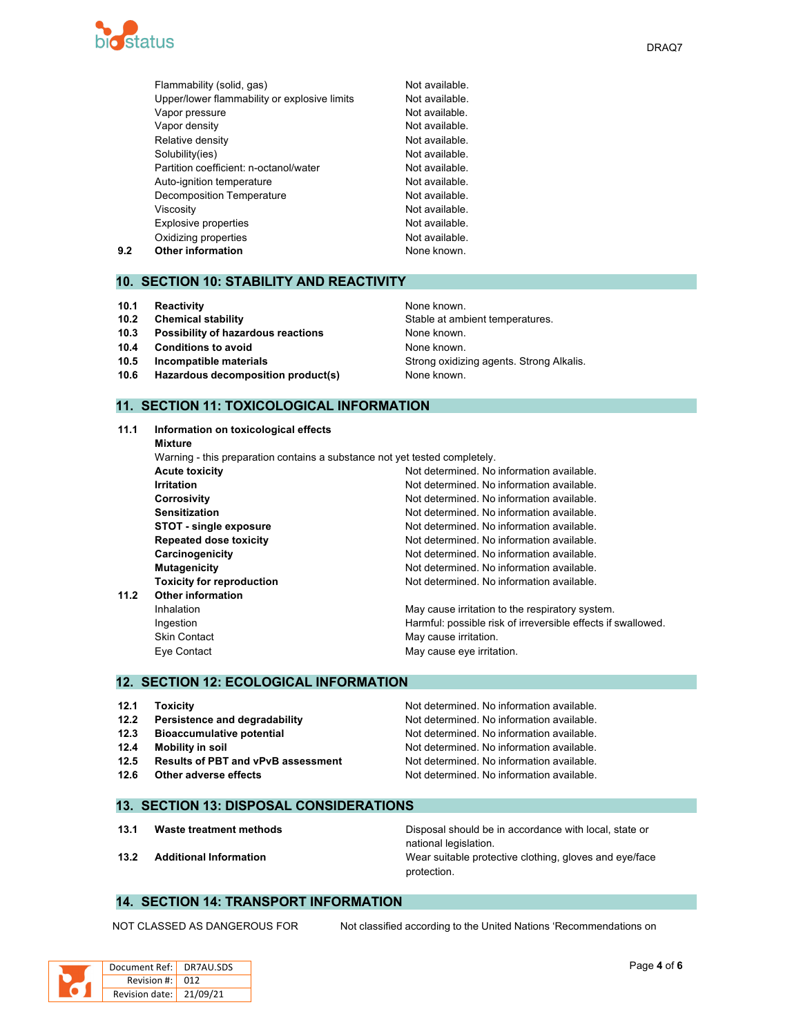

|     | Flammability (solid, gas)                    | Not available. |
|-----|----------------------------------------------|----------------|
|     | Upper/lower flammability or explosive limits | Not available. |
|     | Vapor pressure                               | Not available. |
|     | Vapor density                                | Not available. |
|     | Relative density                             | Not available. |
|     | Solubility(ies)                              | Not available. |
|     | Partition coefficient: n-octanol/water       | Not available. |
|     | Auto-ignition temperature                    | Not available. |
|     | <b>Decomposition Temperature</b>             | Not available. |
|     | Viscosity                                    | Not available. |
|     | <b>Explosive properties</b>                  | Not available. |
|     | Oxidizing properties                         | Not available. |
| 9.2 | <b>Other information</b>                     | None known.    |

#### **10. SECTION 10: STABILITY AND REACTIVITY**

- **10.1 Reactivity None known. Reactivity None known. None known.**
- 
- **10.3 Possibility of hazardous reactions** None known.
- **10.4 Conditions to avoid None known.**
- 
- **10.6 Hazardous decomposition product(s)** None known.

# **11. SECTION 11: TOXICOLOGICAL INFORMATION**

**11.1 Information on toxicological effects Mixture** Warning - this preparation contains a substance not yet tested completely. **Acute toxicity Not determined.** No information available. **Irritation Irritation Irritation In In In In In In In In In In In In In In In In In In In In In In In I Corrosivity** Corrosivity **Not determined.** No information available. **Sensitization Not determined. No information available.** Not determined. No information available. **STOT** - single exposure **Notify Allen Constructs** Not determined. No information available. **Repeated dose toxicity Not determined. No information available. Carcinogenicity Carcinogenicity Not determined. No information available. Mutagenicity Mutagenicity Mutagenicity Mutagenicity Mutagenicity Mutagenicity Mutagenicity Mutagenicity Mutagenicity Mutagenicity Mutagenicity Mutagenicity Mutagenicity Mutagenicity Mutagenicit Toxicity for reproduction** Not determined. No information available. **11.2 Other information** Inhalation **May cause irritation to the respiratory system.** May cause irritation to the respiratory system. Ingestion **Interpretent in the Harmful:** possible risk of irreversible effects if swallowed. Skin Contact **May cause irritation.** May cause irritation. Eye Contact **May cause eye irritation**.

#### **12. SECTION 12: ECOLOGICAL INFORMATION**

| 12.1 | <b>Toxicity</b>                           | Not determined. No information available. |
|------|-------------------------------------------|-------------------------------------------|
| 12.2 | Persistence and degradability             | Not determined. No information available. |
| 12.3 | <b>Bioaccumulative potential</b>          | Not determined. No information available. |
| 12.4 | Mobility in soil                          | Not determined. No information available. |
| 12.5 | <b>Results of PBT and vPvB assessment</b> | Not determined. No information available. |
| 12.6 | Other adverse effects                     | Not determined. No information available. |

#### **13. SECTION 13: DISPOSAL CONSIDERATIONS**

**13.1 Waste treatment methods** Disposal should be in accordance with local, state or national legislation. **13.2 Additional Information** Wear suitable protective clothing, gloves and eye/face protection.

#### **14. SECTION 14: TRANSPORT INFORMATION**

NOT CLASSED AS DANGEROUS FOR Not classified according to the United Nations 'Recommendations on

| Document   |
|------------|
| Revisic    |
| Revision d |

**10.2 Chemical stability 10.2 Chemical stability Stable at ambient temperatures. 10.5 Incompatible materials 10.5 Incompatible materials** Strong **Strong oxidizing agents. Strong Alkalis.**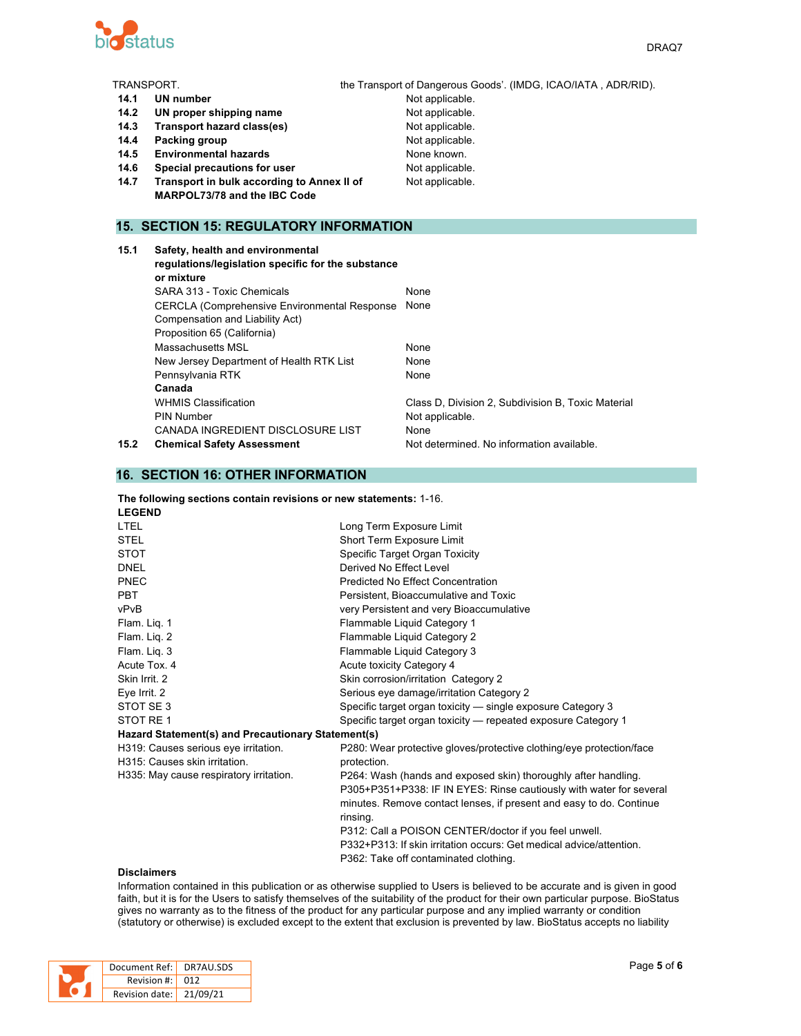

| TRANSPORT. |                                                    | the Transport of Dangerous Goods'. (IMDG, ICAO/IATA, ADR/RID). |
|------------|----------------------------------------------------|----------------------------------------------------------------|
| 14.1       | <b>UN number</b>                                   | Not applicable.                                                |
| 14.2       | UN proper shipping name                            | Not applicable.                                                |
| 14.3       | Transport hazard class(es)                         | Not applicable.                                                |
| 14.4       | Packing group                                      | Not applicable.                                                |
| 14.5       | <b>Environmental hazards</b>                       | None known.                                                    |
| 14.6       | Special precautions for user                       | Not applicable.                                                |
| 14.7       | Transport in bulk according to Annex II of         | Not applicable.                                                |
|            | <b>MARPOL73/78 and the IBC Code</b>                |                                                                |
|            |                                                    |                                                                |
|            | <b>15. SECTION 15: REGULATORY INFORMATION</b>      |                                                                |
|            |                                                    |                                                                |
| 15.1       | Safety, health and environmental                   |                                                                |
|            | regulations/legislation specific for the substance |                                                                |
|            | or mixture                                         |                                                                |
|            | SARA 313 - Toxic Chemicals                         | None                                                           |
|            | CERCLA (Comprehensive Environmental Response None  |                                                                |
|            | Compensation and Liability Act)                    |                                                                |
|            | Proposition 65 (California)                        |                                                                |

WHMIS Classification **Class D**, Division 2, Subdivision B, Toxic Material

**15.2 Chemical Safety Assessment** Not determined. No information available.

#### **16. SECTION 16: OTHER INFORMATION**

**Canada**

#### **The following sections contain revisions or new statements:** 1-16. **LEGEND**

Massachusetts MSL None New Jersey Department of Health RTK List None Pennsylvania RTK None

PIN Number Not applicable. CANADA INGREDIENT DISCLOSURE LIST None

| <b>LTEL</b>                                        | Long Term Exposure Limit                                             |
|----------------------------------------------------|----------------------------------------------------------------------|
| <b>STEL</b>                                        | Short Term Exposure Limit                                            |
| <b>STOT</b>                                        | Specific Target Organ Toxicity                                       |
| <b>DNEL</b>                                        | Derived No Effect Level                                              |
| PNEC                                               | Predicted No Effect Concentration                                    |
| <b>PBT</b>                                         | Persistent, Bioaccumulative and Toxic                                |
| vPvB                                               | very Persistent and very Bioaccumulative                             |
| Flam. Lig. 1                                       | Flammable Liquid Category 1                                          |
| Flam. Lig. 2                                       | Flammable Liquid Category 2                                          |
| Flam. Lig. 3                                       | Flammable Liquid Category 3                                          |
| Acute Tox, 4                                       | Acute toxicity Category 4                                            |
| Skin Irrit. 2                                      | Skin corrosion/irritation Category 2                                 |
| Eye Irrit. 2                                       | Serious eye damage/irritation Category 2                             |
| STOT SE3                                           | Specific target organ toxicity — single exposure Category 3          |
| STOT RE 1                                          | Specific target organ toxicity — repeated exposure Category 1        |
| Hazard Statement(s) and Precautionary Statement(s) |                                                                      |
| H319: Causes serious eye irritation.               | P280: Wear protective gloves/protective clothing/eye protection/face |
| H315: Causes skin irritation.                      | protection.                                                          |
| H335: May cause respiratory irritation.            | P264: Wash (hands and exposed skin) thoroughly after handling.       |
|                                                    | P305+P351+P338: IF IN EYES: Rinse cautiously with water for several  |
|                                                    | minutes. Remove contact lenses, if present and easy to do. Continue  |
|                                                    | rinsing.                                                             |
|                                                    | P312: Call a POISON CENTER/doctor if you feel unwell.                |
|                                                    | P332+P313: If skin irritation occurs: Get medical advice/attention.  |
|                                                    | P362: Take off contaminated clothing.                                |

#### **Disclaimers**

Information contained in this publication or as otherwise supplied to Users is believed to be accurate and is given in good faith, but it is for the Users to satisfy themselves of the suitability of the product for their own particular purpose. BioStatus gives no warranty as to the fitness of the product for any particular purpose and any implied warranty or condition (statutory or otherwise) is excluded except to the extent that exclusion is prevented by law. BioStatus accepts no liability

| Document Ref:    | DR7AU.SDS |
|------------------|-----------|
| Revision #: L    | 012       |
| Revision date: I | 21/09/21  |